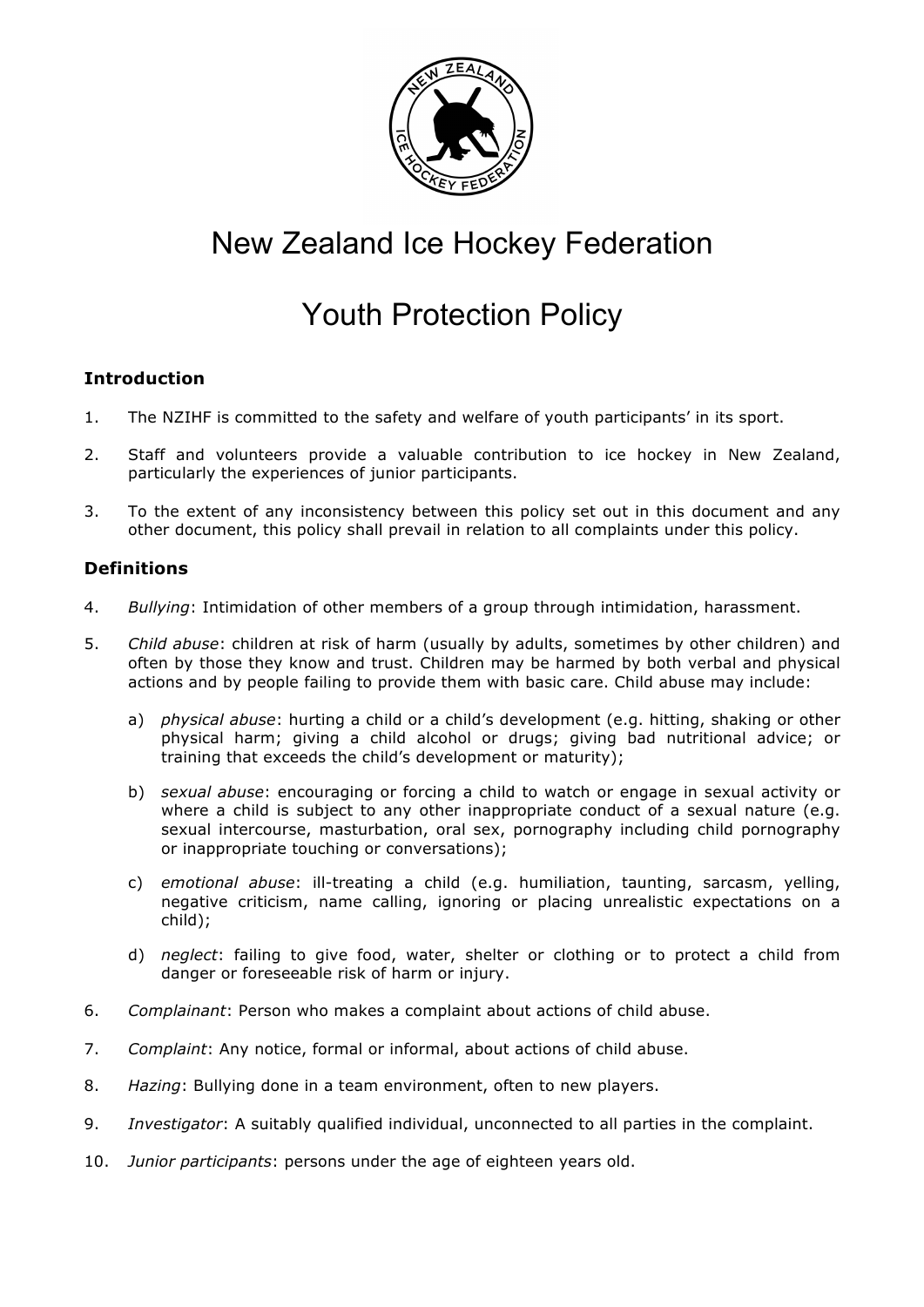

# New Zealand Ice Hockey Federation

# Youth Protection Policy

# **Introduction**

- 1. The NZIHF is committed to the safety and welfare of youth participants' in its sport.
- 2. Staff and volunteers provide a valuable contribution to ice hockey in New Zealand, particularly the experiences of junior participants.
- 3. To the extent of any inconsistency between this policy set out in this document and any other document, this policy shall prevail in relation to all complaints under this policy.

# **Definitions**

- 4. *Bullying*: Intimidation of other members of a group through intimidation, harassment.
- 5. *Child abuse*: children at risk of harm (usually by adults, sometimes by other children) and often by those they know and trust. Children may be harmed by both verbal and physical actions and by people failing to provide them with basic care. Child abuse may include:
	- a) *physical abuse*: hurting a child or a child's development (e.g. hitting, shaking or other physical harm; giving a child alcohol or drugs; giving bad nutritional advice; or training that exceeds the child's development or maturity);
	- b) *sexual abuse*: encouraging or forcing a child to watch or engage in sexual activity or where a child is subject to any other inappropriate conduct of a sexual nature (e.g. sexual intercourse, masturbation, oral sex, pornography including child pornography or inappropriate touching or conversations);
	- c) *emotional abuse*: ill-treating a child (e.g. humiliation, taunting, sarcasm, yelling, negative criticism, name calling, ignoring or placing unrealistic expectations on a child);
	- d) *neglect*: failing to give food, water, shelter or clothing or to protect a child from danger or foreseeable risk of harm or injury.
- 6. *Complainant*: Person who makes a complaint about actions of child abuse.
- 7. *Complaint*: Any notice, formal or informal, about actions of child abuse.
- 8. *Hazing*: Bullying done in a team environment, often to new players.
- 9. *Investigator*: A suitably qualified individual, unconnected to all parties in the complaint.
- 10. *Junior participants*: persons under the age of eighteen years old.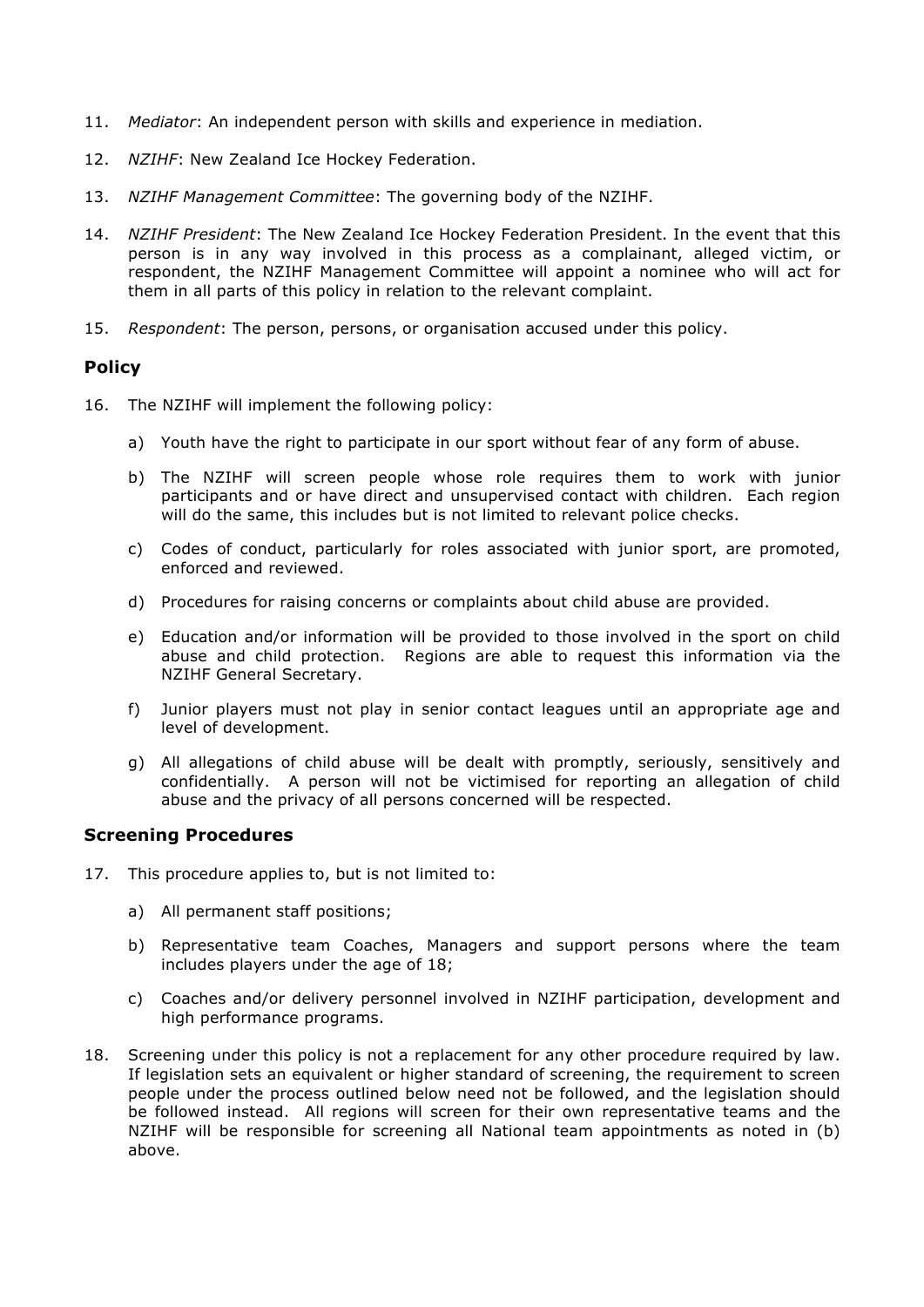- 11. *Mediator*: An independent person with skills and experience in mediation.
- 12. *NZIHF*: New Zealand Ice Hockey Federation.
- 13. *NZIHF Management Committee*: The governing body of the NZIHF.
- 14. *NZIHF President*: The New Zealand Ice Hockey Federation President. In the event that this person is in any way involved in this process as a complainant, alleged victim, or respondent, the NZIHF Management Committee will appoint a nominee who will act for them in all parts of this policy in relation to the relevant complaint.
- 15. *Respondent*: The person, persons, or organisation accused under this policy.

## **Policy**

- 16. The NZIHF will implement the following policy:
	- a) Youth have the right to participate in our sport without fear of any form of abuse.
	- b) The NZIHF will screen people whose role requires them to work with junior participants and or have direct and unsupervised contact with children. Each region will do the same, this includes but is not limited to relevant police checks.
	- c) Codes of conduct, particularly for roles associated with junior sport, are promoted, enforced and reviewed.
	- d) Procedures for raising concerns or complaints about child abuse are provided.
	- e) Education and/or information will be provided to those involved in the sport on child abuse and child protection. Regions are able to request this information via the NZIHF General Secretary.
	- f) Junior players must not play in senior contact leagues until an appropriate age and level of development.
	- g) All allegations of child abuse will be dealt with promptly, seriously, sensitively and confidentially. A person will not be victimised for reporting an allegation of child abuse and the privacy of all persons concerned will be respected.

## **Screening Procedures**

- 17. This procedure applies to, but is not limited to:
	- a) All permanent staff positions;
	- b) Representative team Coaches, Managers and support persons where the team includes players under the age of 18;
	- c) Coaches and/or delivery personnel involved in NZIHF participation, development and high performance programs.
- 18. Screening under this policy is not a replacement for any other procedure required by law. If legislation sets an equivalent or higher standard of screening, the requirement to screen people under the process outlined below need not be followed, and the legislation should be followed instead. All regions will screen for their own representative teams and the NZIHF will be responsible for screening all National team appointments as noted in (b) above.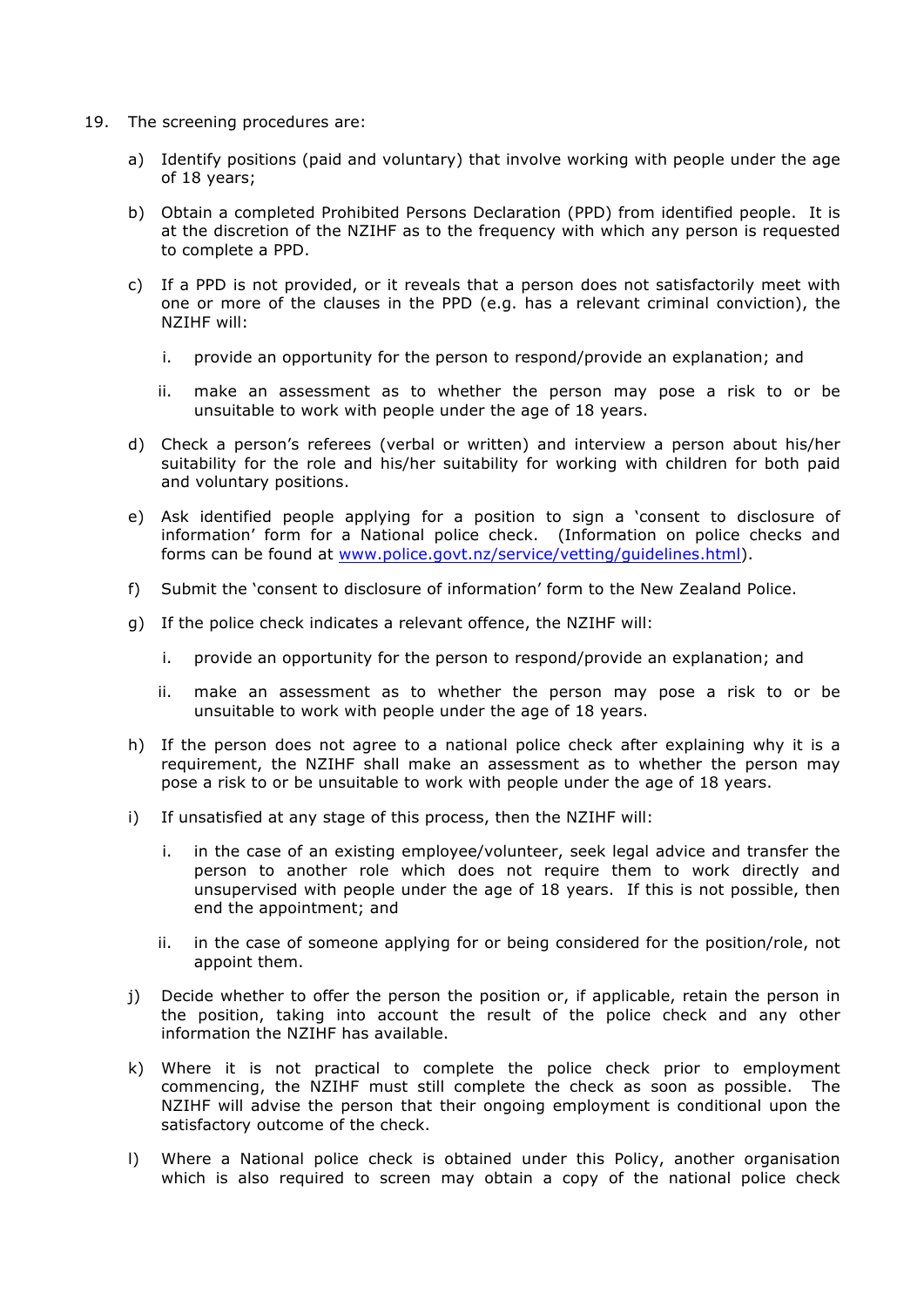- 19. The screening procedures are:
	- a) Identify positions (paid and voluntary) that involve working with people under the age of 18 years;
	- b) Obtain a completed Prohibited Persons Declaration (PPD) from identified people. It is at the discretion of the NZIHF as to the frequency with which any person is requested to complete a PPD.
	- c) If a PPD is not provided, or it reveals that a person does not satisfactorily meet with one or more of the clauses in the PPD (e.g. has a relevant criminal conviction), the NZIHF will:
		- i. provide an opportunity for the person to respond/provide an explanation; and
		- ii. make an assessment as to whether the person may pose a risk to or be unsuitable to work with people under the age of 18 years.
	- d) Check a person's referees (verbal or written) and interview a person about his/her suitability for the role and his/her suitability for working with children for both paid and voluntary positions.
	- e) Ask identified people applying for a position to sign a 'consent to disclosure of information' form for a National police check. (Information on police checks and forms can be found at www.police.govt.nz/service/vetting/guidelines.html).
	- f) Submit the 'consent to disclosure of information' form to the New Zealand Police.
	- g) If the police check indicates a relevant offence, the NZIHF will:
		- i. provide an opportunity for the person to respond/provide an explanation; and
		- ii. make an assessment as to whether the person may pose a risk to or be unsuitable to work with people under the age of 18 years.
	- h) If the person does not agree to a national police check after explaining why it is a requirement, the NZIHF shall make an assessment as to whether the person may pose a risk to or be unsuitable to work with people under the age of 18 years.
	- i) If unsatisfied at any stage of this process, then the NZIHF will:
		- i. in the case of an existing employee/volunteer, seek legal advice and transfer the person to another role which does not require them to work directly and unsupervised with people under the age of 18 years. If this is not possible, then end the appointment; and
		- ii. in the case of someone applying for or being considered for the position/role, not appoint them.
	- j) Decide whether to offer the person the position or, if applicable, retain the person in the position, taking into account the result of the police check and any other information the NZIHF has available.
	- k) Where it is not practical to complete the police check prior to employment commencing, the NZIHF must still complete the check as soon as possible. The NZIHF will advise the person that their ongoing employment is conditional upon the satisfactory outcome of the check.
	- l) Where a National police check is obtained under this Policy, another organisation which is also required to screen may obtain a copy of the national police check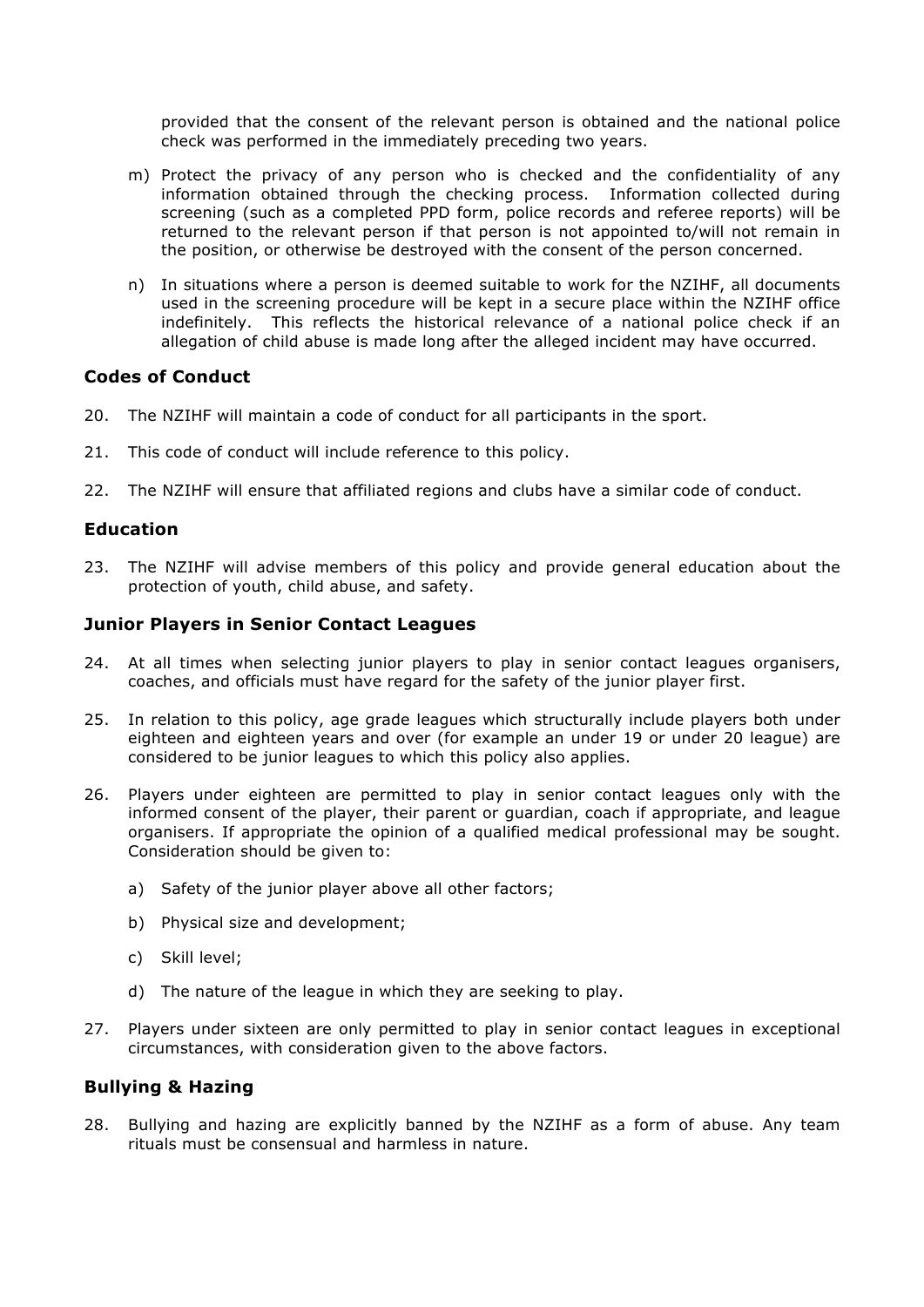provided that the consent of the relevant person is obtained and the national police check was performed in the immediately preceding two years.

- m) Protect the privacy of any person who is checked and the confidentiality of any information obtained through the checking process. Information collected during screening (such as a completed PPD form, police records and referee reports) will be returned to the relevant person if that person is not appointed to/will not remain in the position, or otherwise be destroyed with the consent of the person concerned.
- n) In situations where a person is deemed suitable to work for the NZIHF, all documents used in the screening procedure will be kept in a secure place within the NZIHF office indefinitely. This reflects the historical relevance of a national police check if an allegation of child abuse is made long after the alleged incident may have occurred.

## **Codes of Conduct**

- 20. The NZIHF will maintain a code of conduct for all participants in the sport.
- 21. This code of conduct will include reference to this policy.
- 22. The NZIHF will ensure that affiliated regions and clubs have a similar code of conduct.

## **Education**

23. The NZIHF will advise members of this policy and provide general education about the protection of youth, child abuse, and safety.

## **Junior Players in Senior Contact Leagues**

- 24. At all times when selecting junior players to play in senior contact leagues organisers, coaches, and officials must have regard for the safety of the junior player first.
- 25. In relation to this policy, age grade leagues which structurally include players both under eighteen and eighteen years and over (for example an under 19 or under 20 league) are considered to be junior leagues to which this policy also applies.
- 26. Players under eighteen are permitted to play in senior contact leagues only with the informed consent of the player, their parent or guardian, coach if appropriate, and league organisers. If appropriate the opinion of a qualified medical professional may be sought. Consideration should be given to:
	- a) Safety of the junior player above all other factors;
	- b) Physical size and development;
	- c) Skill level;
	- d) The nature of the league in which they are seeking to play.
- 27. Players under sixteen are only permitted to play in senior contact leagues in exceptional circumstances, with consideration given to the above factors.

## **Bullying & Hazing**

28. Bullying and hazing are explicitly banned by the NZIHF as a form of abuse. Any team rituals must be consensual and harmless in nature.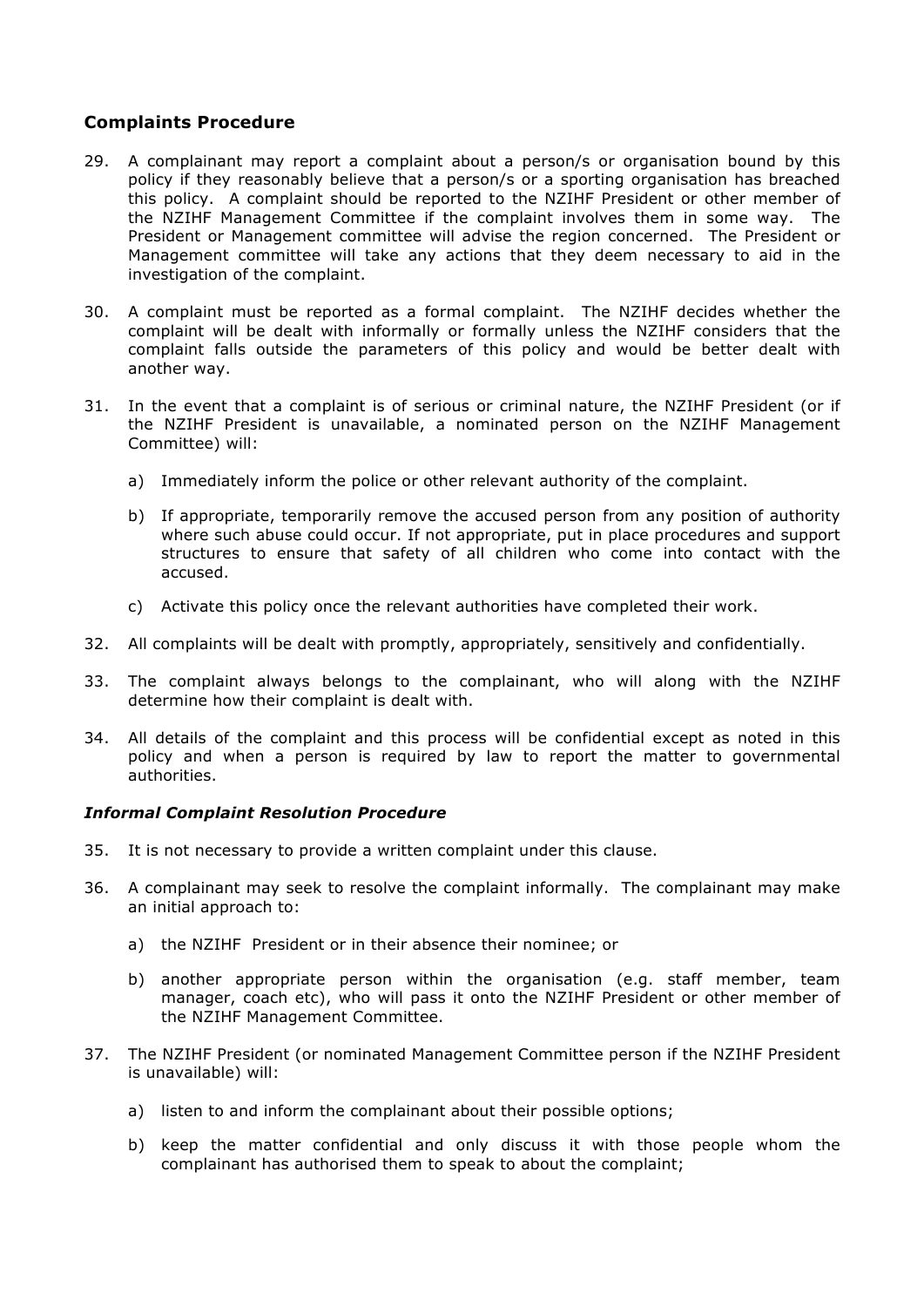## **Complaints Procedure**

- 29. A complainant may report a complaint about a person/s or organisation bound by this policy if they reasonably believe that a person/s or a sporting organisation has breached this policy. A complaint should be reported to the NZIHF President or other member of the NZIHF Management Committee if the complaint involves them in some way. The President or Management committee will advise the region concerned. The President or Management committee will take any actions that they deem necessary to aid in the investigation of the complaint.
- 30. A complaint must be reported as a formal complaint. The NZIHF decides whether the complaint will be dealt with informally or formally unless the NZIHF considers that the complaint falls outside the parameters of this policy and would be better dealt with another way.
- 31. In the event that a complaint is of serious or criminal nature, the NZIHF President (or if the NZIHF President is unavailable, a nominated person on the NZIHF Management Committee) will:
	- a) Immediately inform the police or other relevant authority of the complaint.
	- b) If appropriate, temporarily remove the accused person from any position of authority where such abuse could occur. If not appropriate, put in place procedures and support structures to ensure that safety of all children who come into contact with the accused.
	- c) Activate this policy once the relevant authorities have completed their work.
- 32. All complaints will be dealt with promptly, appropriately, sensitively and confidentially.
- 33. The complaint always belongs to the complainant, who will along with the NZIHF determine how their complaint is dealt with.
- 34. All details of the complaint and this process will be confidential except as noted in this policy and when a person is required by law to report the matter to governmental authorities.

## *Informal Complaint Resolution Procedure*

- 35. It is not necessary to provide a written complaint under this clause.
- 36. A complainant may seek to resolve the complaint informally. The complainant may make an initial approach to:
	- a) the NZIHF President or in their absence their nominee; or
	- b) another appropriate person within the organisation (e.g. staff member, team manager, coach etc), who will pass it onto the NZIHF President or other member of the NZIHF Management Committee.
- 37. The NZIHF President (or nominated Management Committee person if the NZIHF President is unavailable) will:
	- a) listen to and inform the complainant about their possible options;
	- b) keep the matter confidential and only discuss it with those people whom the complainant has authorised them to speak to about the complaint;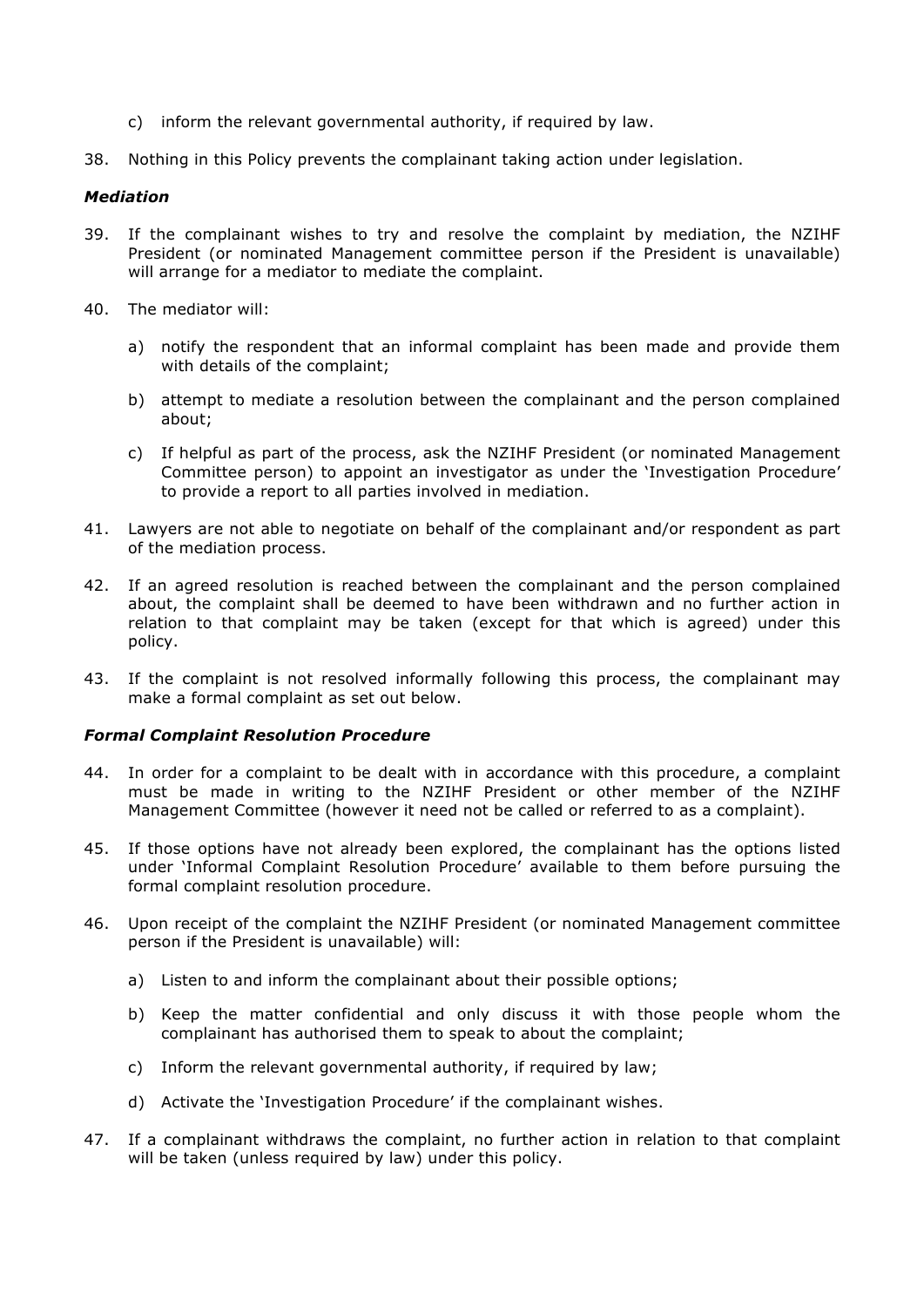- c) inform the relevant governmental authority, if required by law.
- 38. Nothing in this Policy prevents the complainant taking action under legislation.

#### *Mediation*

- 39. If the complainant wishes to try and resolve the complaint by mediation, the NZIHF President (or nominated Management committee person if the President is unavailable) will arrange for a mediator to mediate the complaint.
- 40. The mediator will:
	- a) notify the respondent that an informal complaint has been made and provide them with details of the complaint;
	- b) attempt to mediate a resolution between the complainant and the person complained about;
	- c) If helpful as part of the process, ask the NZIHF President (or nominated Management Committee person) to appoint an investigator as under the 'Investigation Procedure' to provide a report to all parties involved in mediation.
- 41. Lawyers are not able to negotiate on behalf of the complainant and/or respondent as part of the mediation process.
- 42. If an agreed resolution is reached between the complainant and the person complained about, the complaint shall be deemed to have been withdrawn and no further action in relation to that complaint may be taken (except for that which is agreed) under this policy.
- 43. If the complaint is not resolved informally following this process, the complainant may make a formal complaint as set out below.

#### *Formal Complaint Resolution Procedure*

- 44. In order for a complaint to be dealt with in accordance with this procedure, a complaint must be made in writing to the NZIHF President or other member of the NZIHF Management Committee (however it need not be called or referred to as a complaint).
- 45. If those options have not already been explored, the complainant has the options listed under 'Informal Complaint Resolution Procedure' available to them before pursuing the formal complaint resolution procedure.
- 46. Upon receipt of the complaint the NZIHF President (or nominated Management committee person if the President is unavailable) will:
	- a) Listen to and inform the complainant about their possible options;
	- b) Keep the matter confidential and only discuss it with those people whom the complainant has authorised them to speak to about the complaint;
	- c) Inform the relevant governmental authority, if required by law;
	- d) Activate the 'Investigation Procedure' if the complainant wishes.
- 47. If a complainant withdraws the complaint, no further action in relation to that complaint will be taken (unless required by law) under this policy.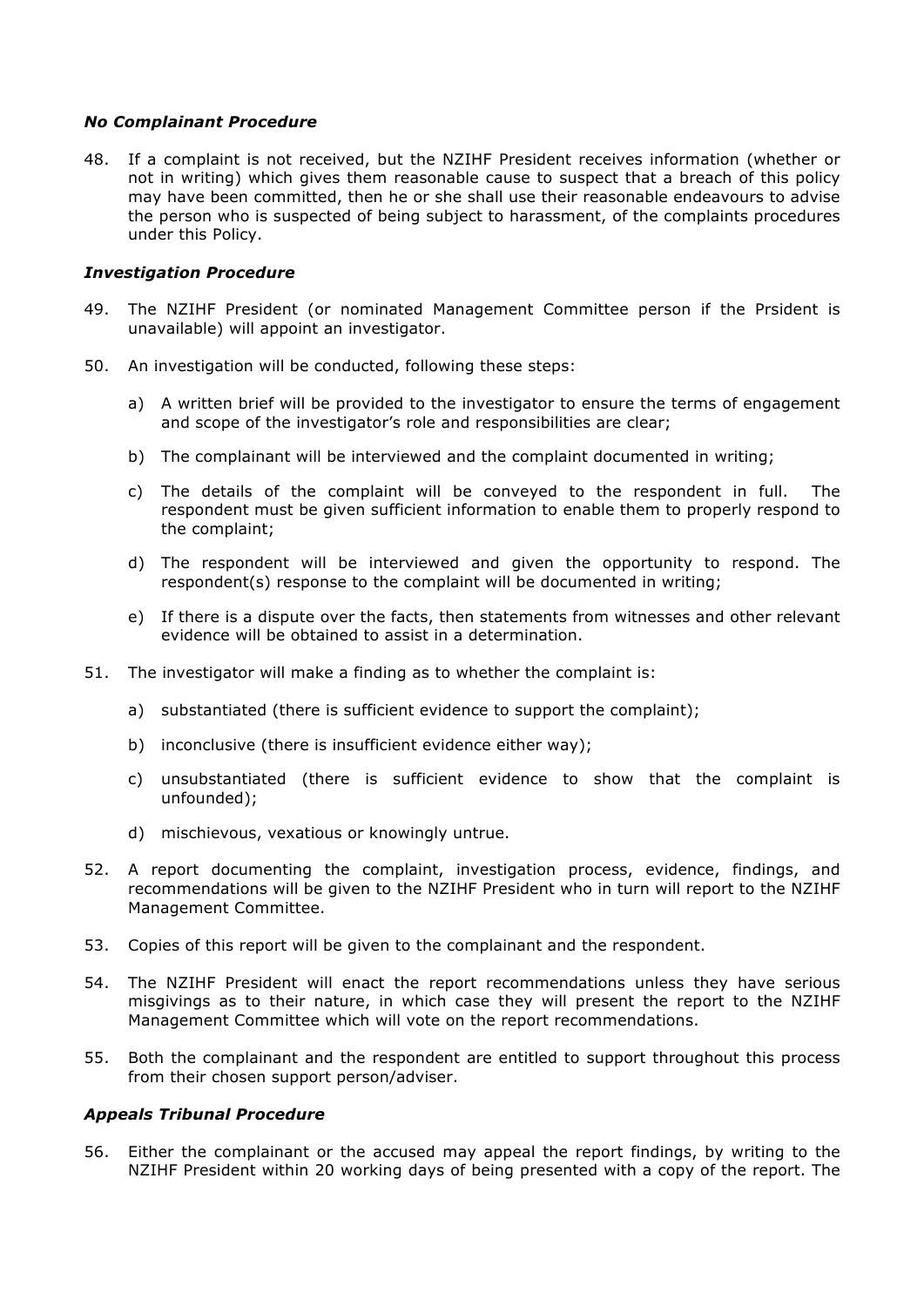### *No Complainant Procedure*

48. If a complaint is not received, but the NZIHF President receives information (whether or not in writing) which gives them reasonable cause to suspect that a breach of this policy may have been committed, then he or she shall use their reasonable endeavours to advise the person who is suspected of being subject to harassment, of the complaints procedures under this Policy.

### *Investigation Procedure*

- 49. The NZIHF President (or nominated Management Committee person if the Prsident is unavailable) will appoint an investigator.
- 50. An investigation will be conducted, following these steps:
	- a) A written brief will be provided to the investigator to ensure the terms of engagement and scope of the investigator's role and responsibilities are clear;
	- b) The complainant will be interviewed and the complaint documented in writing;
	- c) The details of the complaint will be conveyed to the respondent in full. The respondent must be given sufficient information to enable them to properly respond to the complaint;
	- d) The respondent will be interviewed and given the opportunity to respond. The respondent(s) response to the complaint will be documented in writing;
	- e) If there is a dispute over the facts, then statements from witnesses and other relevant evidence will be obtained to assist in a determination.
- 51. The investigator will make a finding as to whether the complaint is:
	- a) substantiated (there is sufficient evidence to support the complaint);
	- b) inconclusive (there is insufficient evidence either way);
	- c) unsubstantiated (there is sufficient evidence to show that the complaint is unfounded);
	- d) mischievous, vexatious or knowingly untrue.
- 52. A report documenting the complaint, investigation process, evidence, findings, and recommendations will be given to the NZIHF President who in turn will report to the NZIHF Management Committee.
- 53. Copies of this report will be given to the complainant and the respondent.
- 54. The NZIHF President will enact the report recommendations unless they have serious misgivings as to their nature, in which case they will present the report to the NZIHF Management Committee which will vote on the report recommendations.
- 55. Both the complainant and the respondent are entitled to support throughout this process from their chosen support person/adviser.

## *Appeals Tribunal Procedure*

56. Either the complainant or the accused may appeal the report findings, by writing to the NZIHF President within 20 working days of being presented with a copy of the report. The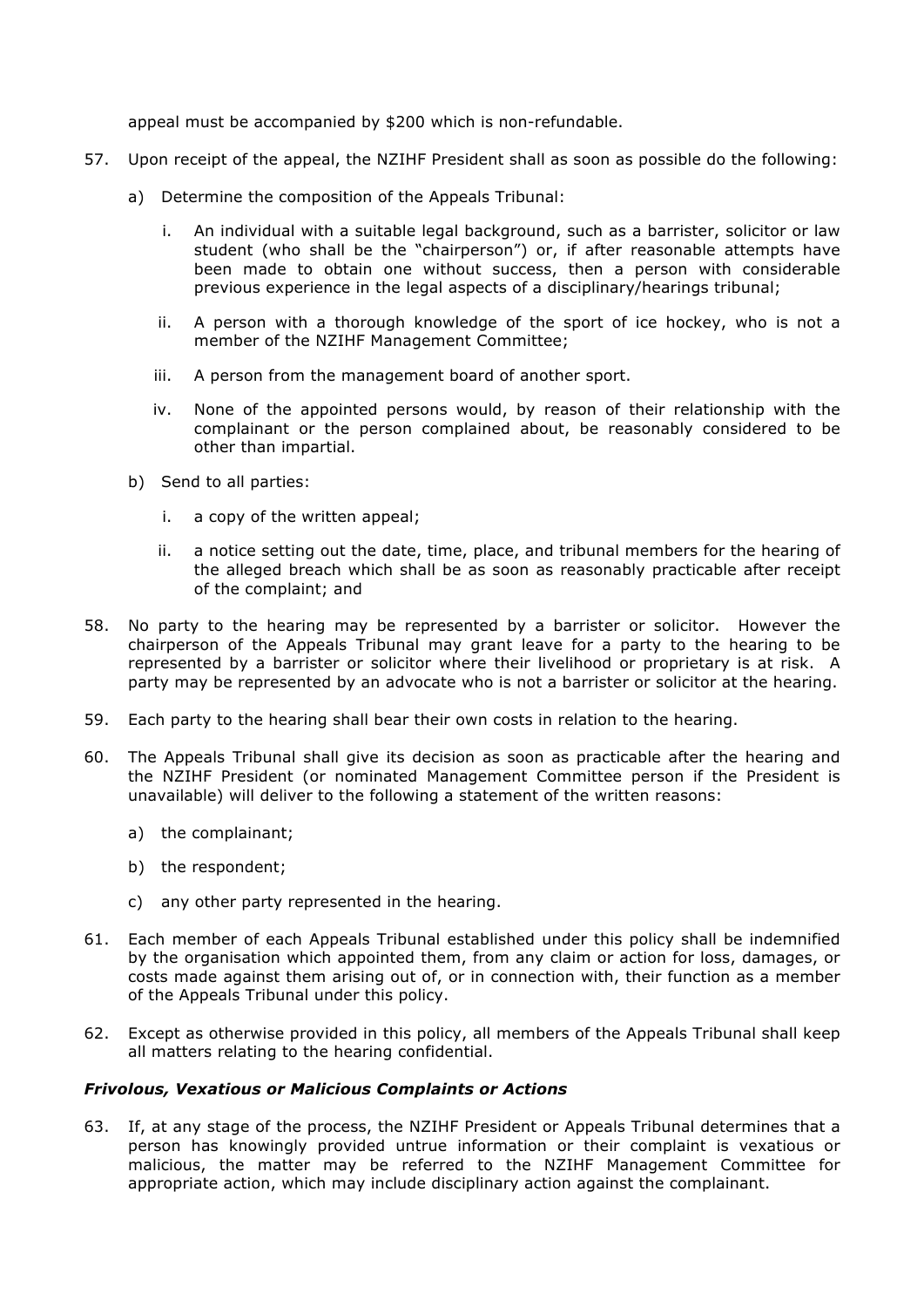appeal must be accompanied by \$200 which is non-refundable.

- 57. Upon receipt of the appeal, the NZIHF President shall as soon as possible do the following:
	- a) Determine the composition of the Appeals Tribunal:
		- i. An individual with a suitable legal background, such as a barrister, solicitor or law student (who shall be the "chairperson") or, if after reasonable attempts have been made to obtain one without success, then a person with considerable previous experience in the legal aspects of a disciplinary/hearings tribunal;
		- ii. A person with a thorough knowledge of the sport of ice hockey, who is not a member of the NZIHF Management Committee;
		- iii. A person from the management board of another sport.
		- iv. None of the appointed persons would, by reason of their relationship with the complainant or the person complained about, be reasonably considered to be other than impartial.
	- b) Send to all parties:
		- i. a copy of the written appeal;
		- ii. a notice setting out the date, time, place, and tribunal members for the hearing of the alleged breach which shall be as soon as reasonably practicable after receipt of the complaint; and
- 58. No party to the hearing may be represented by a barrister or solicitor. However the chairperson of the Appeals Tribunal may grant leave for a party to the hearing to be represented by a barrister or solicitor where their livelihood or proprietary is at risk. A party may be represented by an advocate who is not a barrister or solicitor at the hearing.
- 59. Each party to the hearing shall bear their own costs in relation to the hearing.
- 60. The Appeals Tribunal shall give its decision as soon as practicable after the hearing and the NZIHF President (or nominated Management Committee person if the President is unavailable) will deliver to the following a statement of the written reasons:
	- a) the complainant;
	- b) the respondent;
	- c) any other party represented in the hearing.
- 61. Each member of each Appeals Tribunal established under this policy shall be indemnified by the organisation which appointed them, from any claim or action for loss, damages, or costs made against them arising out of, or in connection with, their function as a member of the Appeals Tribunal under this policy.
- 62. Except as otherwise provided in this policy, all members of the Appeals Tribunal shall keep all matters relating to the hearing confidential.

## *Frivolous, Vexatious or Malicious Complaints or Actions*

63. If, at any stage of the process, the NZIHF President or Appeals Tribunal determines that a person has knowingly provided untrue information or their complaint is vexatious or malicious, the matter may be referred to the NZIHF Management Committee for appropriate action, which may include disciplinary action against the complainant.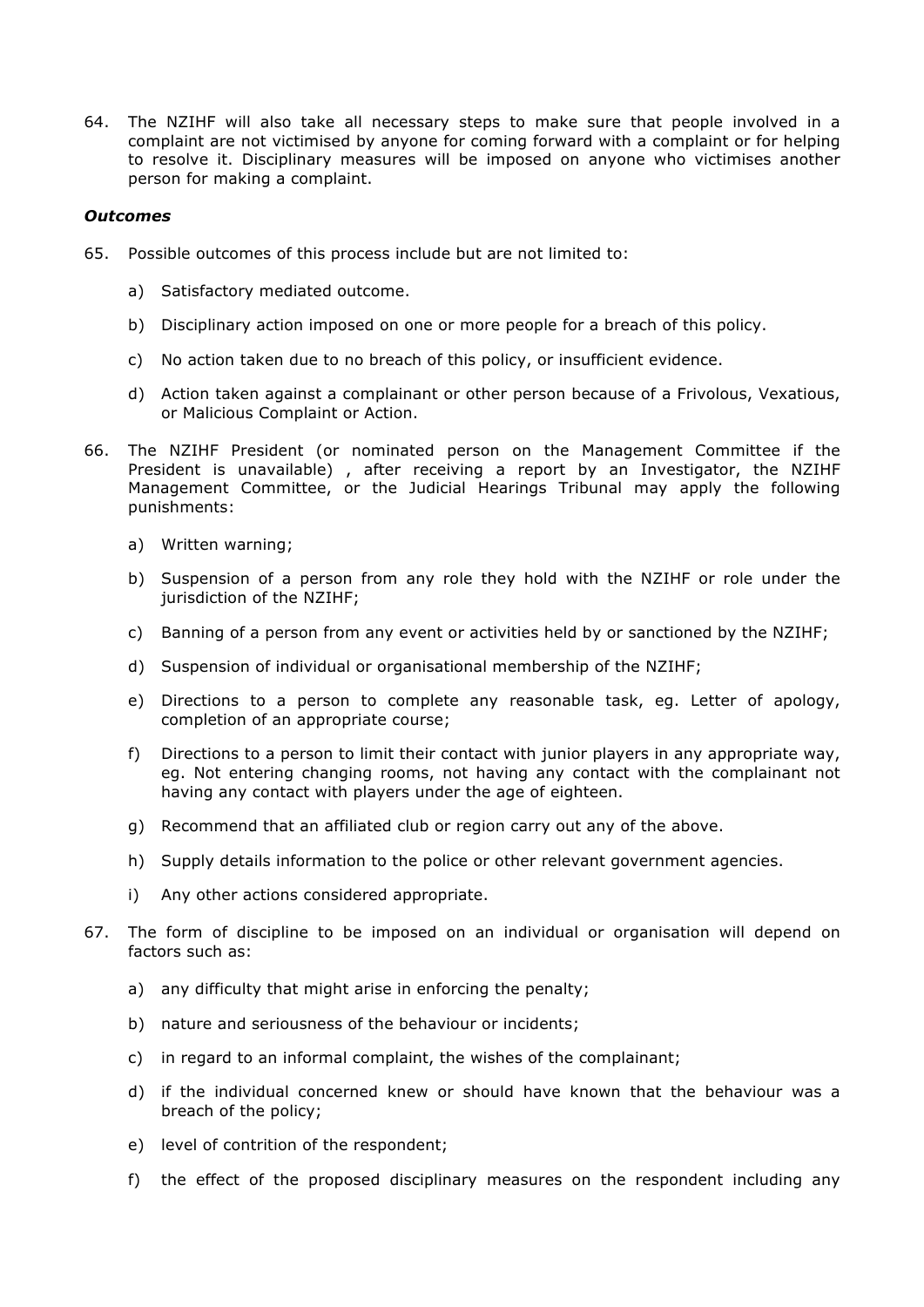64. The NZIHF will also take all necessary steps to make sure that people involved in a complaint are not victimised by anyone for coming forward with a complaint or for helping to resolve it. Disciplinary measures will be imposed on anyone who victimises another person for making a complaint.

## *Outcomes*

- 65. Possible outcomes of this process include but are not limited to:
	- a) Satisfactory mediated outcome.
	- b) Disciplinary action imposed on one or more people for a breach of this policy.
	- c) No action taken due to no breach of this policy, or insufficient evidence.
	- d) Action taken against a complainant or other person because of a Frivolous, Vexatious, or Malicious Complaint or Action.
- 66. The NZIHF President (or nominated person on the Management Committee if the President is unavailable) , after receiving a report by an Investigator, the NZIHF Management Committee, or the Judicial Hearings Tribunal may apply the following punishments:
	- a) Written warning;
	- b) Suspension of a person from any role they hold with the NZIHF or role under the jurisdiction of the NZIHF;
	- c) Banning of a person from any event or activities held by or sanctioned by the NZIHF;
	- d) Suspension of individual or organisational membership of the NZIHF;
	- e) Directions to a person to complete any reasonable task, eg. Letter of apology, completion of an appropriate course;
	- f) Directions to a person to limit their contact with junior players in any appropriate way, eg. Not entering changing rooms, not having any contact with the complainant not having any contact with players under the age of eighteen.
	- g) Recommend that an affiliated club or region carry out any of the above.
	- h) Supply details information to the police or other relevant government agencies.
	- i) Any other actions considered appropriate.
- 67. The form of discipline to be imposed on an individual or organisation will depend on factors such as:
	- a) any difficulty that might arise in enforcing the penalty;
	- b) nature and seriousness of the behaviour or incidents;
	- c) in regard to an informal complaint, the wishes of the complainant;
	- d) if the individual concerned knew or should have known that the behaviour was a breach of the policy;
	- e) level of contrition of the respondent;
	- f) the effect of the proposed disciplinary measures on the respondent including any